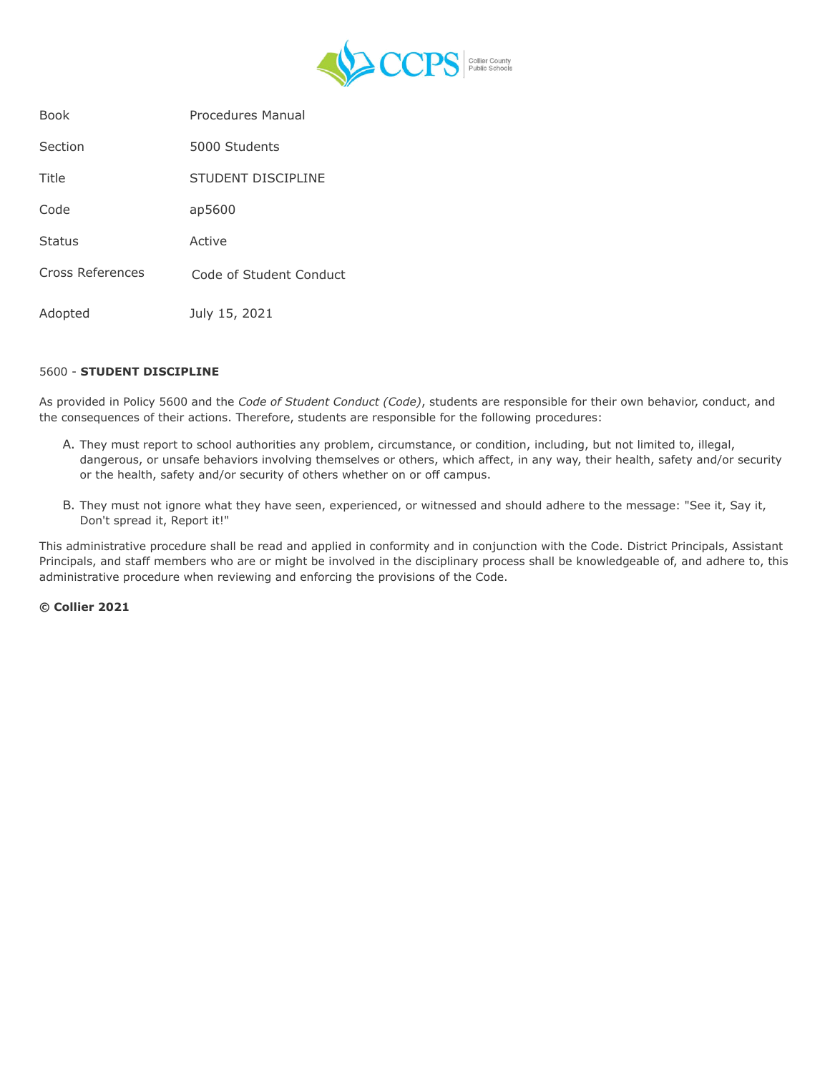

| <b>Book</b>      | <b>Procedures Manual</b> |
|------------------|--------------------------|
| Section          | 5000 Students            |
| Title            | STUDENT DISCIPLINE       |
| Code             | ap5600                   |
| <b>Status</b>    | Active                   |
| Cross References | Code of Student Conduct  |
| Adopted          | July 15, 2021            |

## 5600 - **STUDENT DISCIPLINE**

As provided in Policy 5600 and the *Code of Student Conduct (Code)*, students are responsible for their own behavior, conduct, and the consequences of their actions. Therefore, students are responsible for the following procedures:

- A. They must report to school authorities any problem, circumstance, or condition, including, but not limited to, illegal, dangerous, or unsafe behaviors involving themselves or others, which affect, in any way, their health, safety and/or security or the health, safety and/or security of others whether on or off campus.
- B. They must not ignore what they have seen, experienced, or witnessed and should adhere to the message: "See it, Say it, Don't spread it, Report it!"

This administrative procedure shall be read and applied in conformity and in conjunction with the Code. District Principals, Assistant Principals, and staff members who are or might be involved in the disciplinary process shall be knowledgeable of, and adhere to, this administrative procedure when reviewing and enforcing the provisions of the Code.

**© Collier 2021**